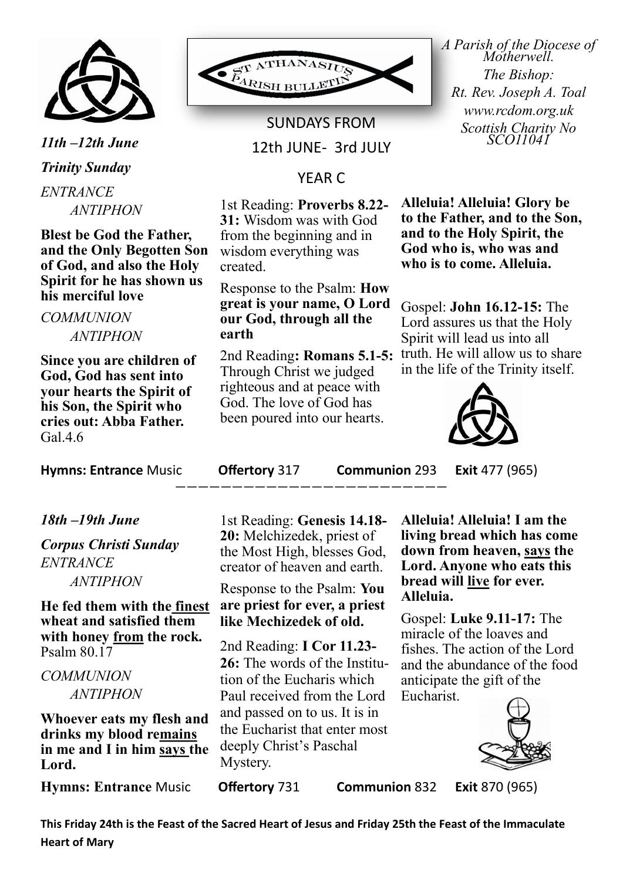

*11th –12th June Trinity Sunday ENTRANCE ANTIPHON*

**Blest be God the Father, and the Only Begotten Son of God, and also the Holy Spirit for he has shown us his merciful love** 

### *COMMUNION ANTIPHON*

**Since you are children of God, God has sent into your hearts the Spirit of his Son, the Spirit who cries out: Abba Father.**  Gal.4.6

**Hymns: Entrance** Music **Offertory** 317 **Communion** 293 **Exit** 477 (965)

## *18th –19th June*

*Corpus Christi Sunday ENTRANCE ANTIPHON*

**He fed them with the finest wheat and satisfied them with honey from the rock.**  Psalm 80.17

## *COMMUNION ANTIPHON*

**Whoever eats my flesh and drinks my blood remains in me and I in him says the Lord.** 

**Hymns: Entrance** Music **Offertory** 731 **Communion** 832 **Exit** 870 (965)



SUNDAYS FROM 12th JUNE- 3rd JULY

# YEAR C

1st Reading: **Proverbs 8.22- 31:** Wisdom was with God from the beginning and in wisdom everything was created.

#### Response to the Psalm: **How great is your name, O Lord our God, through all the earth**

Through Christ we judged righteous and at peace with God. The love of God has been poured into our hearts. *A Parish of the Diocese of Motherwell. The Bishop: Rt. Rev. Joseph A. Toal www.rcdom.org.uk Scottish Charity No SCO11041*

**Alleluia! Alleluia! Glory be to the Father, and to the Son, and to the Holy Spirit, the God who is, who was and who is to come. Alleluia.**

2nd Reading**: Romans 5.1-5:**  truth. He will allow us to share Gospel: **John 16.12-15:** The Lord assures us that the Holy Spirit will lead us into all in the life of the Trinity itself.



————————————————————————

1st Reading: **Genesis 14.18- 20:** Melchizedek, priest of the Most High, blesses God, creator of heaven and earth.

## Response to the Psalm: **You are priest for ever, a priest like Mechizedek of old.**

2nd Reading: **I Cor 11.23- 26:** The words of the Institution of the Eucharis which Paul received from the Lord and passed on to us. It is in the Eucharist that enter most deeply Christ's Paschal Mystery.

**Alleluia! Alleluia! I am the living bread which has come down from heaven, says the Lord. Anyone who eats this bread will live for ever. Alleluia.**

Gospel: **Luke 9.11-17:** The miracle of the loaves and fishes. The action of the Lord and the abundance of the food anticipate the gift of the Eucharist.



**This Friday 24th is the Feast of the Sacred Heart of Jesus and Friday 25th the Feast of the Immaculate Heart of Mary**